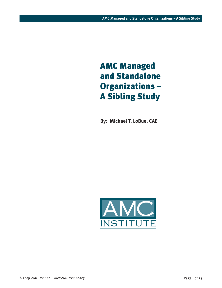# AMC Managed and Standalone Organizations – A Sibling Study

**By: Michael T. LoBue, CAE**

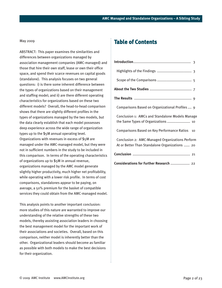#### May 2009

ABSTRACT: This paper examines the similarities and differences between organizations managed by association management companies (AMC-managed) and those that hire their own staff, lease or own their office space, and spend their scarce revenues on capital goods (standalone). This analysis focuses on two general questions: i) is there some inherent difference between the types of organizations based on their management and staffing model; and ii) are there different operating characteristics for organizations based on these two different models? Overall, the head-to-head comparison shows that there are slightly different profiles in the types of organizations managed by the two models, but the data clearly establish that each model possesses deep experience across the wide range of organization types up to the \$5M annual operating level. Organizations with revenues in excess of \$5M are managed under the AMC-managed model, but they were not in sufficient numbers in the study to be included in this comparison. In terms of the operating characteristics of organizations up to \$5M in annual revenue, organizations managed by the AMC model generate slightly higher productivity, much higher net profitability, while operating with a lower risk profile. In terms of cost comparisons, standalones appear to be paying, on average, a 50% premium for the basket of compatible services they could obtain from the AMC-managed model.

This analysis points to another important conclusion: more studies of this nature are warranted to improve our understanding of the relative strengths of these two models, thereby assisting association leaders in choosing the best management model for the important work of their associations and societies. Overall, based on this comparison, neither model is inherently better than the other. Organizational leaders should become as familiar as possible with both models to make the best decisions for their organization.

# **Table of Contents**

| Comparisons Based on Organizational Profiles  9                                                   |
|---------------------------------------------------------------------------------------------------|
| Conclusion 1: AMCs and Standalone Models Manage<br>the Same Types of Organizations  10            |
| Comparisons Based on Key Performance Ratios<br>10                                                 |
| Conclusion 2: AMC-Managed Organizations Perform<br>At or Better Than Standalone Organizations  20 |
|                                                                                                   |
| Considerations for Further Research  22                                                           |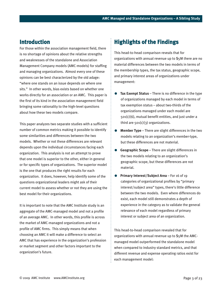# <span id="page-2-0"></span>**Introduction**

For those within the association management field, there is no shortage of opinions about the relative strengths and weaknesses of the standalone and Association Management Company models (AMC-models) for staffing and managing organizations. Almost every one of these opinions can be best characterized by the old adage: "where one stands on an issue depends on where one sits." In other words, bias exists based on whether one works directly for an association or an AMC. This paper is the first of its kind in the association management field bringing some rationality to the high-level questions about how these two models compare.

This paper analyzes two separate studies with a sufficient number of common metrics making it possible to identify some similarities and differences between the two models. Whether or not these differences are relevant depends upon the individual circumstances facing each organization. This analysis is not an attempt to prove that one model is superior to the other, either in general or for specific types of organizations. The superior model is the one that produces the right results for each organization. It does, however, help identify some of the questions organizational leaders might ask of their current model to assess whether or not they are using the best model for their organizations.

It is important to note that the AMC Institute study is an aggregate of the AMC-managed model and not a profile of an average AMC. In other words, this profile is across the market of AMC-managed organizations and not a profile of AMC firms. This simply means that when choosing an AMC it will make a difference to select an AMC that has experience in the organization's profession or market segment and other factors important to the organization's future.

# **Highlights of the Findings**

This head-to-head comparison reveals that for organizations with annual revenue up to \$5M there are no material differences between the two models in terms of the membership types, the tax status, geographic scope, and primary interest areas of organizations under management:

- **Tax Exempt Status** There is no difference in the type of organizations managed by each model in terms of tax exemption status – about two-thirds of the organizations managed under each model are 501(c)(6), mutual benefit entities, and just under a third are  $501(c)(3)$  organizations.
- **Member Type** There are slight differences in the two models relating to an organization's member-type, but these differences are not material.
- **Geographic Scope** There are slight differences in the two models relating to an organization's geographic scope, but these differences are not material.
- **Primary Interest/Subject Area** For 16 of 19 categories of organizational profiles by "primary interest/subject area" types, there's little difference between the two models. Even where differences do exist, each model still demonstrates a depth of experience in the category as to validate the general relevance of each model regardless of primary interest or subject area of an organization.

This head-to-head comparison revealed that for organizations with annual revenue up to \$5M the AMCmanaged model outperformed the standalone model when compared to industry standard metrics, and that different revenue and expense operating ratios exist for each management model: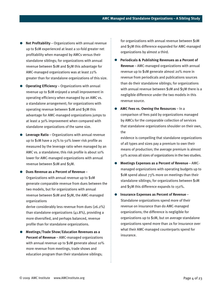- **Net Profitability** Organizations with annual revenue up to \$1M experienced at least a 10-fold greater net profitability when managed by AMCs versus their standalone siblings; for organizations with annual revenue between \$1M and \$5M this advantage for AMC-managed organizations was at least 22% greater than for standalone organizations of this size.
- **Operating Efficiency** Organizations with annual revenue up to \$1M enjoyed a small improvement in operating efficiency when managed by an AMC vs. a standalone arrangement; for organizations with operating revenue between \$1M and \$5M this advantage for AMC-managed organizations jumps to at least a 30% improvement when compared with standalone organizations of the same size.
- **Leverage Ratio** Organizations with annual revenue up to \$1M have a 25% to 50% lower risk profile as measured by the leverage ratio when managed by an AMC vs. a standalone; this risk profile is about 10% lower for AMC-managed organizations with annual revenue between \$1M and \$5M.
- **Dues Revenue as a Percent of Revenue**  Organizations with annual revenue up to \$1M generate comparable revenue from dues between the two models, but for organizations with annual revenue between \$1M and \$5M, the AMC-managed organizations
	- derive considerably less revenue from dues (26.2%) than standalone organizations (41.8%), providing a more diversified, and perhaps balanced, revenue profile than for standalone organizations.
- **Meetings/Trade Show/Education Revenues as a Percent of Revenue** – AMC-managed organizations with annual revenue up to \$1M generate about 10% more revenue from meetings, trade shows and education program than their standalone siblings;

for organizations with annual revenue between \$1M and \$5M this difference expanded for AMC-managed organizations by almost a third.

- **Periodicals & Publishing Revenues as a Percent of Revenue** – AMC-managed organizations with annual revenue up to \$1M generate almost 20% more in revenue from periodicals and publications sources than do their standalone siblings; for organizations with annual revenue between \$1M and \$5M there is a negligible difference under the two models in this revenue source.
- **AMC Fees vs. Owning the Resources** In a comparison of fees paid by organizations managed by AMCs for the comparable collection of services that standalone organizations shoulder on their own, the

evidence is compelling that standalone organizations of all types and sizes pay a premium to own their means of production; the average premium is almost 50% across all sizes of organizations in the two studies.

- **Meetings Expenses as a Percent of Revenue** AMCmanaged organizations with operating budgets up to \$1M spend about 73% more on meetings than their standalone siblings; for organizations between \$1M and \$5M this difference expands to 150%.
- **Insurance Expenses as Percent of Revenue**  Standalone organizations spend more of their revenue on insurance than do AMC-managed organizations; the difference is negligible for organizations up to \$1M, but on average standalone organizations spend more than 2x for insurance over what their AMC-managed counterparts spend for insurance.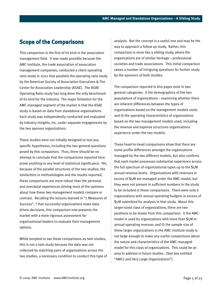# <span id="page-4-0"></span>**Scope of the Comparisons**

This comparison is the first of its kind in the association management field. It was made possible because the AMC Institute, the trade association of association management companies, conducted a client operating ratio study in 2007 that parallels the operating ratio study by the American Society of Association Executives & The Center for Association Leadership (ASAE). The ASAE Operating Ratio study has long been the only benchmark of its kind for the industry. The major limitation for the AMC-managed segment of the market is that the ASAE study is based on data from standalone organizations. Each study was independently conducted and evaluated by Industry Insights, Inc. under separate engagements by the two sponsor organizations.

These studies were not initially designed to test any specific hypotheses, including the two general questions posed by this comparison. Thus, there should be no attempt to conclude that the comparisons reported here prove anything to any level of statistical significance. Yet, because of the parallel structures of the two studies, the similarities in methodologies and the results reported, these comparisons are more robust than the personal and anecdotal experiences driving most of the opinions about how these two management models compare or contrast. Recalling the lessons learned in "7 Measures of Success", 1 that successful organizations make datadriven decisions, this comparison now presents the market with a more rigorous assessment for organizational leaders to evaluate their management options.

While tempted to see these comparisons as twin studies, this is not a twin study because the data was not collected by matching pairs of organizations across the two studies, a necessary condition to conduct this type of analysis. But the concept is a useful one and may be the way to approach a follow up study. Rather, this comparison is more like a sibling study, where the organizations are of similar heritage – professional societies and trade associations. This initial comparison raises a number of intriguing questions for further study by the sponsors of both studies.

The comparison reported in this paper exist in two general categories: i) the demographics of the two populations of organizations – examining whether there are inherent differences between the types of organizations based on the management models used; and ii) the operating characteristics of organizations based on the two management models used, including the revenue and expense structures organizations experience under the two models.

These head-to-head comparisons show that there are some profile differences amongst the organizations managed by the two different models, but also confirms that each model possesses substantial experience across the full spectrum of organizational types up to the \$5M annual revenue levels. Organizations with revenues in excess of \$5M are managed under the AMC-model, but they were not present in sufficient numbers in the study to be included in these comparisons. There were only 6 organizations with annual operating budgets in excess of \$5M submitted for analysis in that study. About this larger-sized class of organizations, there are two positions to be drawn from this comparison: i) the AMCmodel is used by organizations with more than \$5M in annual operating revenue; and ii) the sample size of these larger organizations in the AMC Institute study is not large enough to make any useful comparisons about the nature and characteristics of the AMC-managed model for this class of organizations. This could be an area to address in future studies. (See box entitled "AMCs and Very Large Organizations")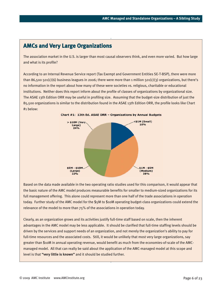# **AMCs and Very Large Organizations**

The association market in the U.S. is larger than most causal observers think, and even more varied. But how large and what is its profile?

According to an Internal Revenue Service report (Tax Exempt and Government Entities SE-T-BSP), there were more than 86,500 501(c)(6) business leagues in 2006; there were more than 1 million 501(c)(3) organizations, but there's no information in the report about how many of these were societies vs. religious, charitable or educational institutions. Neither does this report inform about the profile of classes of organizations by organizational size. The ASAE 13th Edition ORR may be useful in profiling size. Assuming that the budget-size distribution of just the 85,500 organizations is similar to the distribution found in the ASAE 13th Edition ORR, the profile looks like Chart #1 below:



Based on the data made available in the two operating ratio studies used for this comparison, it would appear that the basic nature of the AMC model produces measurable benefits for smaller to medium-sized organizations for its full management offering. This alone could represent more than one half of the trade associations in operation today. Further study of the AMC model for the \$5M to \$10M operating budget-class organizations could extend the relevance of the model to more than 75% of the associations in operation today.

Clearly, as an organization grows and its activities justify full-time staff based on scale, then the inherent advantages in the AMC model may be less applicable. It should be clarified that full-time staffing levels should be driven by the services and support needs of an organization, and not merely the organization's ability to pay for full-time resources and the associated costs. Still, it would be unlikely that most very large organizations, say greater than \$10M in annual operating revenue, would benefit as much from the economies-of-scale of the AMCmanaged model. All that can really be said about the application of the AMC-managed model at this scope and level is that **"very little is known"** and it should be studied further.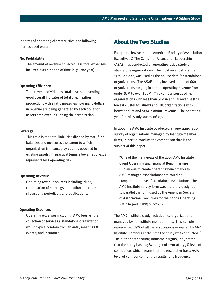<span id="page-6-0"></span>In terms of operating characteristics, the following metrics used were:

#### **Net Profitability**

The amount of revenue collected less total expenses incurred over a period of time (e.g., one year).

#### **Operating Efficiency**

Total revenue divided by total assets, presenting a good overall indicator of total organization productivity – this ratio measures how many dollars in revenue are being generated by each dollar of assets employed in running the organization.

#### **Leverage**

This ratio is the total liabilities divided by total fund balances and measures the extent to which an organization is financed by debt as opposed to existing assets. In practical terms a lower ratio value represents less operating risk.

#### **Operating Revenue**

Operating revenue sources including: dues, combination of meetings, education and trade shows, and periodicals and publications.

#### **Operating Expenses**

Operating expenses including: AMC fees vs. the collection of services a standalone organization would typically retain from an AMC; meetings & events; and insurance.

### **About the Two Studies**

For quite a few years, the American Society of Association Executives & The Center for Association Leadership (ASAE) has conducted an operating ratios study of standalone organizations. The most recent study, the 13th Edition<sup>2</sup>, was used as the source data for standalone organizations. The ASAE study involved a total of 660 organizations ranging in annual operating revenue from under \$1M to over \$20M. This comparison used 74 organizations with less than \$1M in annual revenue (the lowest cluster for study) and 183 organizations with between \$1M and \$5M in annual revenue. The operating year for this study was 2006-07.

In 2007 the AMC Institute conducted an operating ratio survey of organizations managed by Institute member firms, in part to conduct the comparison that is the subject of this paper:

"One of the main goals of the 2007 AMC Institute Client Operating and Financial Benchmarking Survey was to create operating benchmarks for AMC-managed associations that could be compared to those of standalone associations. The AMC Institute survey form was therefore designed to parallel the form used by the American Society of Association Executives for their 2007 Operating Ratio Report (ORR) survey." 3

The AMC Institute study included 317 organizations managed by 50 Institute member firms. This sample represented 28% of all the associations managed by AMC Institute members at the time the study was conducted. <sup>4</sup> The author of the study, Industry Insights, Inc., stated that the study has a  $\pm$ 5% margin of error at a 95% level of confidence, which means that the researcher has a 95% level of confidence that the results for a frequency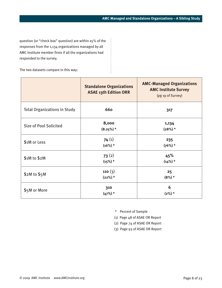question (or "check box" question) are within ±5% of the responses from the 1,134 organizations managed by all AMC Institute member firms if all the organizations had responded to the survey.

The two datasets compare in this way:

|                                     | <b>Standalone Organizations</b><br><b>ASAE 13th Edition ORR</b> | <b>AMC-Managed Organizations</b><br><b>AMC Institute Survey</b><br>(pg 19 of Survey) |
|-------------------------------------|-----------------------------------------------------------------|--------------------------------------------------------------------------------------|
| <b>Total Organizations in Study</b> | 660                                                             | 317                                                                                  |
| <b>Size of Pool Solicited</b>       | 8,000<br>$(8.25%)$ *                                            | 1,134<br>$(28%) *$                                                                   |
| \$1M or Less                        | 74(1)<br>$(16%)$ *                                              | 235<br>$(76%) *$                                                                     |
| \$1M to \$2M                        | 73(2)<br>$(15%)$ *                                              | 45%<br>$(14%)$ *                                                                     |
| \$2M to \$5M                        | 110 $(3)$<br>$(22%)$ *                                          | 25<br>$(8%) *$                                                                       |
| \$5M or More                        | 310<br>$(47%)$ *                                                | 6<br>$(2%) *$                                                                        |

\* Percent of Sample

- (1) Page 48 of ASAE OR Report
- (2) Page 74 of ASAE OR Report
- (3) Page 93 of ASAE OR Report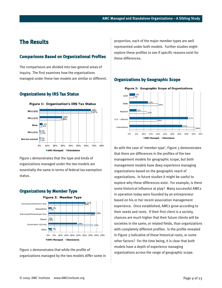# <span id="page-8-0"></span>**The Results**

#### **Comparisons Based on Organizational Profiles**

The comparisons are divided into two general areas of inquiry. The first examines how the organizations managed under these two models are similar or different.

#### **Organizations by IRS Tax Status**



Figure 1 demonstrates that the type and kinds of organizations managed under the two models are essentially the same in terms of federal tax exemption status.

#### **Organizations by Member Type**



Figure 2 demonstrates that while the profile of organizations managed by the two models differ some in

proportion, each of the major member types are well represented under both models. Further studies might explore these profiles to see if specific reasons exist for these differences.

#### **Organizations by Geographic Scope**



As with the case of 'member type', Figure 3 demonstrates that there are differences in the profiles of the two management models for geographic scope, but both management models have deep experience managing organizations based on the geographic reach of organizations. In future studies it might be useful to explore why these differences exist. For example, is there some historical influence at play? Many successful AMCs in operation today were founded by an entrepreneur based on his or her recent association management experience. Once established, AMCs grow according to their seeds and roots. If their first client is a society, chances are much higher that their future clients will be societies in the same, or related fields, than organizations with completely different profiles. Is the profile revealed in Figure 3 indicative of these historical roots, or some other factors? For the time being, it is clear that both models have a depth of experience managing organizations across the range of geographic scope.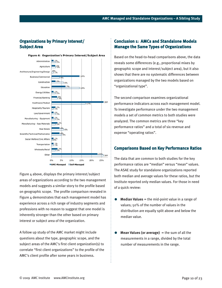### <span id="page-9-0"></span>**Organizations by Primary Interest/ Subject Area**



Figure 4 above, displays the primary interest/subject areas of organizations according to the two management models and suggests a similar story to the profile based on geographic scope. The profile comparison revealed in Figure 4 demonstrates that each management model has experience across a rich range of industry segments and professions with no reason to suggest that one model is inherently stronger than the other based on primary interest or subject area of the organization.

A follow up study of the AMC market might include questions about the type, geographic scope, and the subject areas of the AMC's first client organization(s) to correlate "first client organizations" to the profile of the AMC's client profile after some years in business.

### **Conclusion 1: AMCs and Standalone Models Manage the Same Types of Organizations**

Based on the head-to-head comparisons above, the data reveals some differences (e.g., proportional mixes by geographic scope and interest/subject area), but it also shows that there are no systematic differences between organizations managed by the two models based on "organizational type".

The second comparison examines organizational performance indicators across each management model. To investigate performance under the two management models a set of common metrics to both studies were analyzed. The common metrics are three "key performance ratios" and a total of six revenue and expense "operating ratios".

### **Comparisons Based on Key Performance Ratios**

The data that are common to both studies for the key performance ratios are "median" versus "mean" values. The ASAE study for standalone organizations reported both median and average values for these ratios, but the Institute reported only median values. For those in need of a quick review:

- **Median Values** = the mid-point value in a range of values; 50% of the number of values in the distribution are equally split above and below the median value.
- Mean Values (or average) = the sum of all the measurements in a range, divided by the total number of measurements in the range.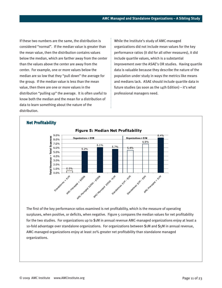If these two numbers are the same, the distribution is considered "normal". If the median value is greater than the mean value, then the distribution contains values below the median, which are farther away from the center than the values above the center are away from the center. For example, one or more values below the median are so low that they "pull down" the average for the group. If the median value is less than the mean value, then there are one or more values in the distribution "pulling up" the average. It is often useful to know both the median and the mean for a distribution of data to learn something about the nature of the distribution.

While the Institute's study of AMC-managed organizations did not include mean values for the key performance ratios (it did for all other measures), it did include quartile values, which is a substantial improvement over the ASAE's OR studies. Having quartile data is valuable because they describe the nature of the population under study in ways the metrics like means and medians lack. ASAE should include quartile data in future studies (as soon as the 14th Edition) – it's what professional managers need.



surpluses, when positive, or deficits, when negative. Figure 5 compares the median values for net profitability for the two studies. For organizations up to \$1M in annual revenue AMC-managed organizations enjoy at least a 10-fold advantage over standalone organizations. For organizations between \$1M and \$5M in annual revenue, AMC-managed organizations enjoy at least 20% greater net profitability than standalone managed organizations.

#### © 2009 AMC Institute www.AMCInstitute.org Page 11 of 23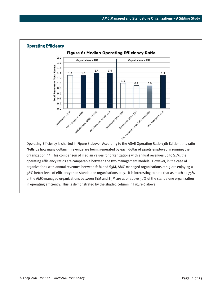

Operating Efficiency is charted in Figure 6 above. According to the ASAE Operating Ratio 13th Edition, this ratio "tells us how many dollars in revenue are being generated by each dollar of assets employed in running the organization." 5 This comparison of median values for organizations with annual revenues up to \$1M, the operating efficiency ratios are comparable between the two management models. However, in the case of organizations with annual revenues between \$1M and \$5M, AMC-managed organizations at 1.3 are enjoying a 38% better level of efficiency than standalone organizations at .9. It is interesting to note that as much as 75% of the AMC-managed organizations between \$1M and \$5M are at or above 50% of the standalone organization in operating efficiency. This is demonstrated by the shaded column in Figure 6 above.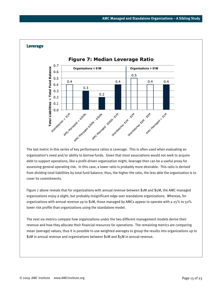

#### **Leverage**

The last metric in this series of key performance ratios is Leverage. This is often used when evaluating an organization's need and/or ability to borrow funds. Given that most associations would not seek to acquire debt to support operations, like a profit-driven organization might, leverage then can be a useful proxy for assessing general operating risk. In this case, a lower ratio is probably more desirable. This ratio is derived from dividing total liabilities by total fund balance; thus, the higher the ratio, the less able the organization is to cover its commitments.

Figure 7 above reveals that for organizations with annual revenue between \$1M and \$5M, the AMC-managed organizations enjoy a slight, but probably insignificant edge over standalone organizations. Whereas, for organizations with annual revenue up to \$1M, those managed by AMCs appear to operate with a 25% to 50% lower risk profile than organizations using the standalone model.

The next six metrics compare how organizations under the two different management models derive their revenue and how they allocate their financial resources for operations. The remaining metrics are comparing mean (average) values, thus it is possible to use weighted averages to group the results into organizations up to \$1M in annual revenue and organizations between \$1M and \$5M in annual revenue.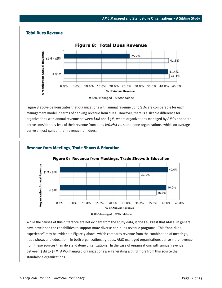

Figure 8 above demonstrates that organizations with annual revenue up to \$1M are comparable for each management model in terms of deriving revenue from dues. However, there is a sizable difference for organizations with annual revenue between \$1M and \$5M, where organizations managed by AMCs appear to derive considerably less of their revenue from dues (26.2%) vs. standalone organizations, which on average derive almost 42% of their revenue from dues.



### While the causes of this difference are not evident from the study data, it does suggest that AMCs, in general, have developed the capabilities to support more diverse non-dues revenue programs. This "non-dues experience" may be evident in Figure 9 above, which compares revenue from the combination of meetings, trade shows and education. In both organizational groups, AMC-managed organizations derive more revenue from these sources than do standalone organizations. In the case of organizations with annual revenue between \$1M to \$5M, AMC-managed organizations are generating a third more from this source than standalone organizations.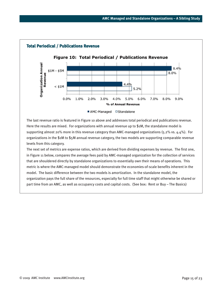

The last revenue ratio is featured in Figure 10 above and addresses total periodical and publications revenue. Here the results are mixed. For organizations with annual revenue up to \$1M, the standalone model is supporting almost 20% more in this revenue category than AMC-managed organizations (5.2% vs. 4.4%). For organizations in the \$1M to \$5M annual revenue category, the two models are supporting comparable revenue levels from this category.

The next set of metrics are expense ratios, which are derived from dividing expenses by revenue. The first one, in Figure 11 below, compares the average fees paid by AMC-managed organization for the collection of services that are shouldered directly by standalone organizations to essentially own their means of operations. This metric is where the AMC-managed model should demonstrate the economies-of-scale benefits inherent in the model. The basic difference between the two models is amortization. In the standalone model, the organization pays the full share of the resources, especially for full time staff that might otherwise be shared or part time from an AMC, as well as occupancy costs and capital costs. (See box: Rent or Buy – The Basics)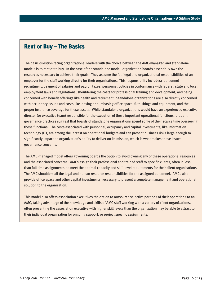## **Rent or Buy – The Basics**

The basic question facing organizational leaders with the choice between the AMC-managed and standalone models is to rent or to buy. In the case of the standalone model, organization boards essentially own the resources necessary to achieve their goals. They assume the full legal and organizational responsibilities of an employer for the staff working directly for their organizations. This responsibility includes: personnel recruitment, payment of salaries and payroll taxes; personnel policies in conformance with federal, state and local employment laws and regulations; shouldering the costs for professional training and development; and being concerned with benefit offerings like health and retirement. Standalone organizations are also directly concerned with occupancy issues and costs like leasing or purchasing office space, furnishings and equipment, and the proper insurance coverage for these assets. While standalone organizations would have an experienced executive director (or executive team) responsible for the execution of these important operational functions, prudent governance practices suggest that boards of standalone organizations spend some of their scarce time overseeing these functions. The costs associated with personnel, occupancy and capital investments, like information technology (IT), are among the largest on operational budgets and can present business risks large enough to significantly impact an organization's ability to deliver on its mission, which is what makes these issues governance concerns.

The AMC-managed model offers governing boards the option to avoid owning any of these operational resources and the associated concerns. AMCs assign their professional and trained staff to specific clients, often in less than full time assignments, to meet the optimal capacity and skill-level requirements for their client organizations. The AMC shoulders all the legal and human resource responsibilities for the assigned personnel. AMCs also provide office space and other capital investments necessary to present a complete management and operational solution to the organization.

This model also offers association executives the option to outsource selective portions of their operations to an AMC, taking advantage of the knowledge and skills of AMC staff working with a variety of client organizations, often presenting the association executive with higher skill levels than the organization may be able to attract to their individual organization for ongoing support, or project specific assignments.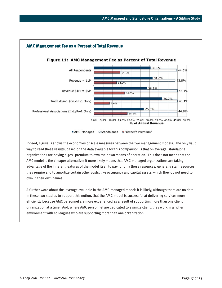

AMC-Managed □ Standalones ■ "Owner's Premium"

Indeed, Figure 11 shows the economies of scale measures between the two management models. The only valid way to read these results, based on the data available for this comparison is that on average, standalone organizations are paying a 50% premium to own their own means of operation. This does not mean that the AMC model is the cheaper alternative; it more likely means that AMC-managed organizations are taking advantage of the inherent features of the model itself to pay for only those resources, generally staff resources, they require and to amortize certain other costs, like occupancy and capital assets, which they do not need to own in their own names.

A further word about the leverage available in the AMC-managed model: it is likely, although there are no data in these two studies to support this notion, that the AMC-model is successful at delivering services more efficiently because AMC personnel are more experienced as a result of supporting more than one client organization at a time. And, where AMC personnel are dedicated to a single client, they work in a richer environment with colleagues who are supporting more than one organization.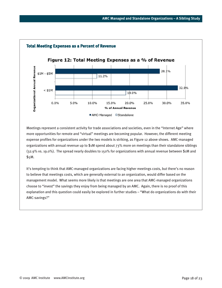

Meetings represent a consistent activity for trade associations and societies, even in the "Internet Age" where more opportunities for remote and "virtual" meetings are becoming popular. However, the different meeting expense profiles for organizations under the two models is striking, as Figure 12 above shows. AMC-managed organizations with annual revenue up to \$1M spend about 73% more on meetings than their standalone siblings (32.9% vs. 19.0%). The spread nearly doubles to 150% for organizations with annual revenue between \$1M and \$5M.

It's tempting to think that AMC-managed organizations are facing higher meetings costs, but there's no reason to believe that meetings costs, which are generally external to an organization, would differ based on the management model. What seems more likely is that meetings are one area that AMC-managed organizations choose to "invest" the savings they enjoy from being managed by an AMC. Again, there is no proof of this explanation and this question could easily be explored in further studies – "What do organizations do with their AMC-savings?"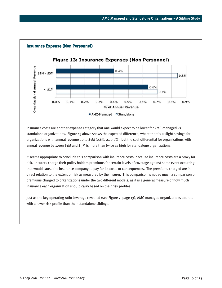

Insurance costs are another expense category that one would expect to be lower for AMC-managed vs. standalone organizations. Figure 13 above shows the expected difference, where there's a slight savings for organizations with annual revenue up to \$1M (0.6% vs. 0.7%), but the cost differential for organizations with annual revenue between \$1M and \$5M is more than twice as high for standalone organizations.

It seems appropriate to conclude this comparison with insurance costs, because insurance costs are a proxy for risk. Insurers charge their policy holders premiums for certain levels of coverage against some event occurring that would cause the insurance company to pay for its costs or consequences. The premiums charged are in direct relation to the extent of risk as measured by the insurer. This comparison is not so much a comparison of premiums charged to organizations under the two different models, as it is a general measure of how much insurance each organization should carry based on their risk profiles.

Just as the key operating ratio Leverage revealed (see Figure 7, page 13), AMC-managed organizations operate with a lower risk profile than their standalone siblings.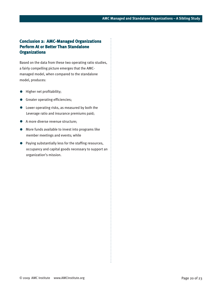### <span id="page-19-0"></span>**Conclusion 2: AMC-Managed Organizations Perform At or Better Than Standalone Organizations**

Based on the data from these two operating ratio studies, a fairly compelling picture emerges that the AMCmanaged model, when compared to the standalone model, produces:

- Higher net profitability;
- **•** Greater operating efficiencies;
- Lower operating risks, as measured by both the Leverage ratio and insurance premiums paid;
- A more diverse revenue structure;
- More funds available to invest into programs like member meetings and events; while
- Paying substantially less for the staffing resources, occupancy and capital goods necessary to support an organization's mission.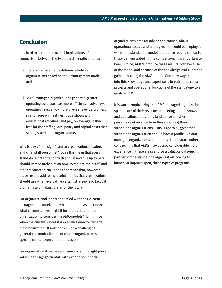# <span id="page-20-0"></span>**Conclusion**

It is hard to escape the overall implications of the comparison between the two operating ratio studies:

- i. there's no discernable difference between organizations based on their management model; and
- ii. AMC-managed organizations generate greater operating surpluses, are more efficient, involve lower operating risks, enjoy more diverse revenue profiles, spend more on meetings, trade shows and educational activities, and pay, on average, a third less for the staffing, occupancy and capital costs than sibling standalone organizations.

Why is any of this significant to organizational leaders and chief staff personnel? Does this mean that every standalone organization with annual revenue up to \$5M should immediately hire an AMC to replace their staff and other resources? No, it does not mean that, however, these results add to the useful metrics that organizations should use when evaluating certain strategic and tactical programs and making plans for the future.

For organizational leaders satisfied with their current management model, it may be prudent to ask: "Under what circumstances might it be appropriate for our organization to consider the AMC-model?" It might be when the current successful executive director departs the organization. It might be during a challenging general economic climate, or for the organization's specific market segment or profession.

For organizational leaders and senior staff, it might prove valuable to engage an AMC with experience in their

organization's area for advice and counsel about operational issues and strategies that could be employed within the standalone model to produce results similar to those demonstrated in this comparison. It is important to bear in mind, AMC's produce these results both because of the model and because of the knowledge and expertise gained by using the AMC model. One easy way to tap into this knowledge and expertise is to outsource certain projects and operational functions of the standalone to a qualified AMC.

It is worth emphasizing that AMC-managed organizations spend more of their revenue on meetings, trade shows and educational programs (and derive a higher percentage of revenue from these sources) than do standalone organizations. This is not to suggest that standalone organization should have a profile like AMCmanaged organizations, but it does demonstrate rather convincingly that AMCs may posses considerable more experience in these areas and be a valuable outsourcing partner for the standalone organization looking to launch, or improve upon, these types of programs.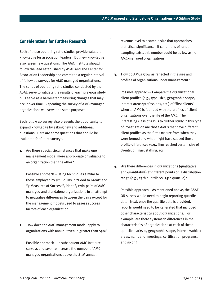### <span id="page-21-0"></span>**Considerations for Further Research**

Both of these operating ratio studies provide valuable knowledge for association leaders. But new knowledge also raises new questions. The AMC Institute should follow the lead established by ASAE and The Center for Association Leadership and commit to a regular interval of follow up surveys for AMC-managed organizations. The series of operating ratio studies conducted by the ASAE serve to validate the results of each previous study, plus serve as a barometer measuring changes that may occur over time. Repeating the survey of AMC-managed organizations will serve the same purposes.

Each follow up survey also presents the opportunity to expand knowledge by asking new and additional questions. Here are some questions that should be evaluated for future surveys.

**1.** Are there special circumstances that make one management model more appropriate or valuable to an organization than the other?

Possible approach – Using techniques similar to those employed by Jim Collins in "Good to Great" and "7 Measures of Success", identify twin-pairs of AMCmanaged and standalone organizations in an attempt to neutralize differences between the pairs except for the management models used to assess success factors of each organization.

**2.** How does the AMC-management model apply to organizations with annual revenue greater than \$5M?

Possible approach – In subsequent AMC Institute surveys endeavor to increase the number of AMCmanaged organizations above the \$5M annual

revenue level to a sample size that approaches statistical significance. If conditions of random sampling exist, this number could be as low as 30 AMC-managed organizations.

**3.** How do AMCs grow as reflected in the size and profiles of organizations under management?

Possible approach – Compare the organizational client profiles (e.g., type, size, geographic scope, interest areas/professions, etc.) of "first clients" when an AMC is founded with the profiles of client organizations over the life of the AMC. The interesting class of AMCs to further study in this type of investigation are those AMCs that have different client profiles as the firms mature from when they were formed and what might have caused those profile differences (e.g., firm reached certain size of clients, billings, staffing, etc.)

**4.** Are there differences in organizations (qualitative and quantitative) at different points on a distribution range (e.g., 25th quartile vs. 75th quartile)?

Possible approach – As mentioned above, the ASAE OR survey would need to begin reporting quartile data. Next, once the quartile data is provided, reports would need to be generated that included other characteristics about organizations. For example, are there systematic differences in the characteristics of organizations at each of these quartile marks by geographic scope, interest/subject areas, number of meetings, certification programs, and so on?